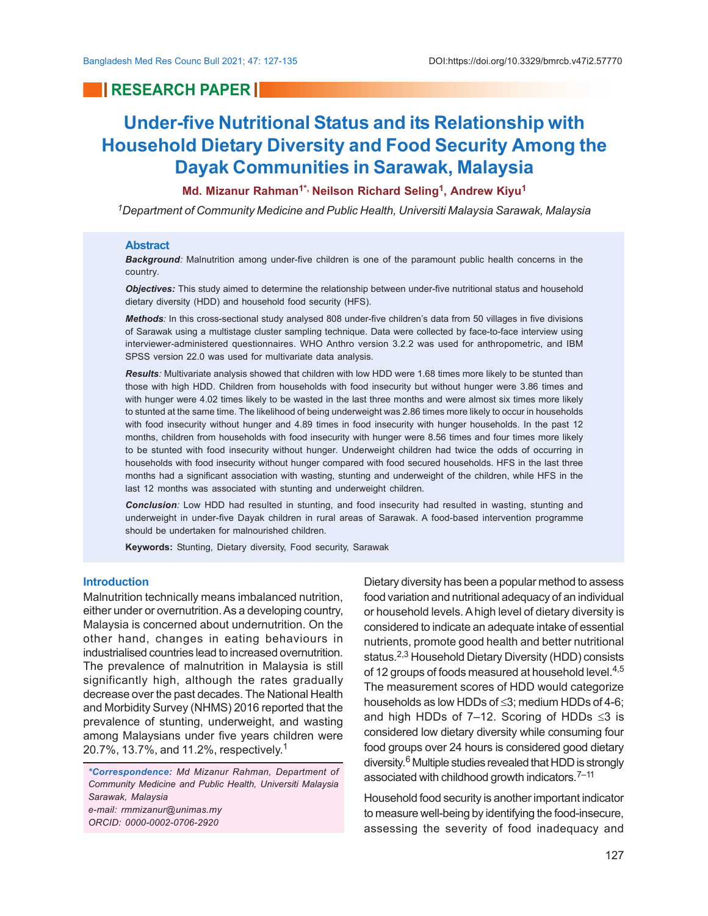## **RESEARCH PAPER INC.**

# **Under-five Nutritional Status and its Relationship with Household Dietary Diversity and Food Security Among the Dayak Communities in Sarawak, Malaysia**

### **Md. Mizanur Rahman1\*, Neilson Richard Seling<sup>1</sup> , Andrew Kiyu<sup>1</sup>**

*<sup>1</sup>Department of Community Medicine and Public Health, Universiti Malaysia Sarawak, Malaysia*

#### **Abstract**

*Background:* Malnutrition among under-five children is one of the paramount public health concerns in the country.

*Objectives:* This study aimed to determine the relationship between under-five nutritional status and household dietary diversity (HDD) and household food security (HFS).

*Methods:* In this cross-sectional study analysed 808 under-five children's data from 50 villages in five divisions of Sarawak using a multistage cluster sampling technique. Data were collected by face-to-face interview using interviewer-administered questionnaires. WHO Anthro version 3.2.2 was used for anthropometric, and IBM SPSS version 22.0 was used for multivariate data analysis.

*Results:* Multivariate analysis showed that children with low HDD were 1.68 times more likely to be stunted than those with high HDD. Children from households with food insecurity but without hunger were 3.86 times and with hunger were 4.02 times likely to be wasted in the last three months and were almost six times more likely to stunted at the same time. The likelihood of being underweight was 2.86 times more likely to occur in households with food insecurity without hunger and 4.89 times in food insecurity with hunger households. In the past 12 months, children from households with food insecurity with hunger were 8.56 times and four times more likely to be stunted with food insecurity without hunger. Underweight children had twice the odds of occurring in households with food insecurity without hunger compared with food secured households. HFS in the last three months had a significant association with wasting, stunting and underweight of the children, while HFS in the last 12 months was associated with stunting and underweight children.

*Conclusion:* Low HDD had resulted in stunting, and food insecurity had resulted in wasting, stunting and underweight in under-five Dayak children in rural areas of Sarawak. A food-based intervention programme should be undertaken for malnourished children.

**Keywords:** Stunting, Dietary diversity, Food security, Sarawak

#### **Introduction**

Malnutrition technically means imbalanced nutrition, either under or overnutrition. As a developing country, Malaysia is concerned about undernutrition. On the other hand, changes in eating behaviours in industrialised countries lead to increased overnutrition. The prevalence of malnutrition in Malaysia is still significantly high, although the rates gradually decrease over the past decades. The National Health and Morbidity Survey (NHMS) 2016 reported that the prevalence of stunting, underweight, and wasting among Malaysians under five years children were 20.7%, 13.7%, and 11.2%, respectively. 1

*\*Correspondence: Md Mizanur Rahman, Department of Community Medicine and Public Health, Universiti Malaysia Sarawak, Malaysia e-mail: rmmizanur@unimas.my ORCID: 0000-0002-0706-2920*

Dietary diversity has been a popular method to assess food variation and nutritional adequacy of an individual or household levels. A high level of dietary diversity is considered to indicate an adequate intake of essential nutrients, promote good health and better nutritional status.2,3 Household Dietary Diversity (HDD) consists of 12 groups of foods measured at household level.<sup>4,5</sup> The measurement scores of HDD would categorize households as low HDDs of  $\leq$ 3; medium HDDs of 4-6; and high HDDs of 7-12. Scoring of HDDs  $\leq$ 3 is considered low dietary diversity while consuming four food groups over 24 hours is considered good dietary diversity. <sup>6</sup> Multiple studies revealed that HDD is strongly associated with childhood growth indicators.<sup>7–11</sup>

Household food security is another important indicator to measure well-being by identifying the food-insecure, assessing the severity of food inadequacy and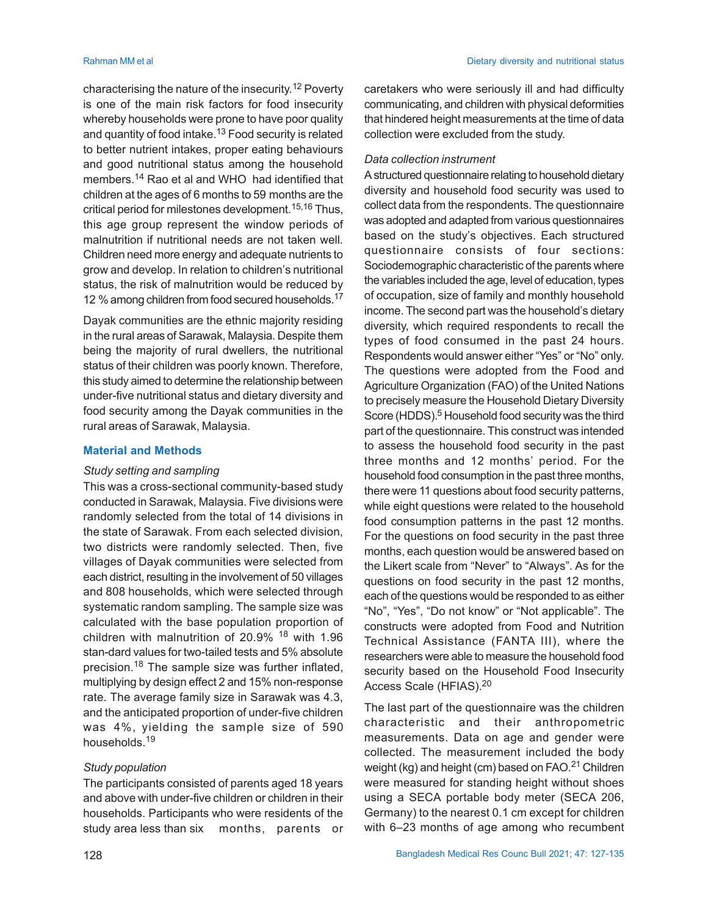characterising the nature of the insecurity. <sup>12</sup> Poverty is one of the main risk factors for food insecurity whereby households were prone to have poor quality and quantity of food intake.13 Food security is related to better nutrient intakes, proper eating behaviours and good nutritional status among the household members.14 Rao et al and WHO had identified that children at the ages of 6 months to 59 months are the critical period for milestones development.<sup>15,16</sup> Thus, this age group represent the window periods of malnutrition if nutritional needs are not taken well. Children need more energy and adequate nutrients to grow and develop. In relation to children's nutritional status, the risk of malnutrition would be reduced by 12 % among children from food secured households.<sup>17</sup>

Dayak communities are the ethnic majority residing in the rural areas of Sarawak, Malaysia. Despite them being the majority of rural dwellers, the nutritional status of their children was poorly known. Therefore, this study aimed to determine the relationship between under-five nutritional status and dietary diversity and food security among the Dayak communities in the rural areas of Sarawak, Malaysia.

### **Material and Methods**

#### *Study setting and sampling*

This was a cross-sectional community-based study conducted in Sarawak, Malaysia. Five divisions were randomly selected from the total of 14 divisions in the state of Sarawak. From each selected division, two districts were randomly selected. Then, five villages of Dayak communities were selected from each district, resulting in the involvement of 50 villages and 808 households, which were selected through systematic random sampling. The sample size was calculated with the base population proportion of children with malnutrition of 20.9% 18 with 1.96 stan-dard values for two-tailed tests and 5% absolute precision.18 The sample size was further inflated, multiplying by design effect 2 and 15% non-response rate. The average family size in Sarawak was 4.3, and the anticipated proportion of under-five children was 4%, yielding the sample size of 590 households.<sup>19</sup>

#### *Study population*

The participants consisted of parents aged 18 years and above with under-five children or children in their households. Participants who were residents of the study area less than six months, parents or

caretakers who were seriously ill and had difficulty communicating, and children with physical deformities that hindered height measurements at the time of data collection were excluded from the study.

#### *Data collection instrument*

A structured questionnaire relating to household dietary diversity and household food security was used to collect data from the respondents. The questionnaire was adopted and adapted from various questionnaires based on the study's objectives. Each structured questionnaire consists of four sections: Sociodemographic characteristic of the parents where the variables included the age, level of education, types of occupation, size of family and monthly household income. The second part was the household's dietary diversity, which required respondents to recall the types of food consumed in the past 24 hours. Respondents would answer either "Yes" or "No" only. The questions were adopted from the Food and Agriculture Organization (FAO) of the United Nations to precisely measure the Household Dietary Diversity Score (HDDS).<sup>5</sup> Household food security was the third part of the questionnaire. This construct was intended to assess the household food security in the past three months and 12 months' period. For the household food consumption in the past three months, there were 11 questions about food security patterns, while eight questions were related to the household food consumption patterns in the past 12 months. For the questions on food security in the past three months, each question would be answered based on the Likert scale from "Never" to "Always". As for the questions on food security in the past 12 months, each of the questions would be responded to as either "No", "Yes", "Do not know" or "Not applicable". The constructs were adopted from Food and Nutrition Technical Assistance (FANTA III), where the researchers were able to measure the household food security based on the Household Food Insecurity Access Scale (HFIAS).<sup>20</sup>

The last part of the questionnaire was the children characteristic and their anthropometric measurements. Data on age and gender were collected. The measurement included the body weight (kg) and height (cm) based on FAO.<sup>21</sup> Children were measured for standing height without shoes using a SECA portable body meter (SECA 206, Germany) to the nearest 0.1 cm except for children with 6–23 months of age among who recumbent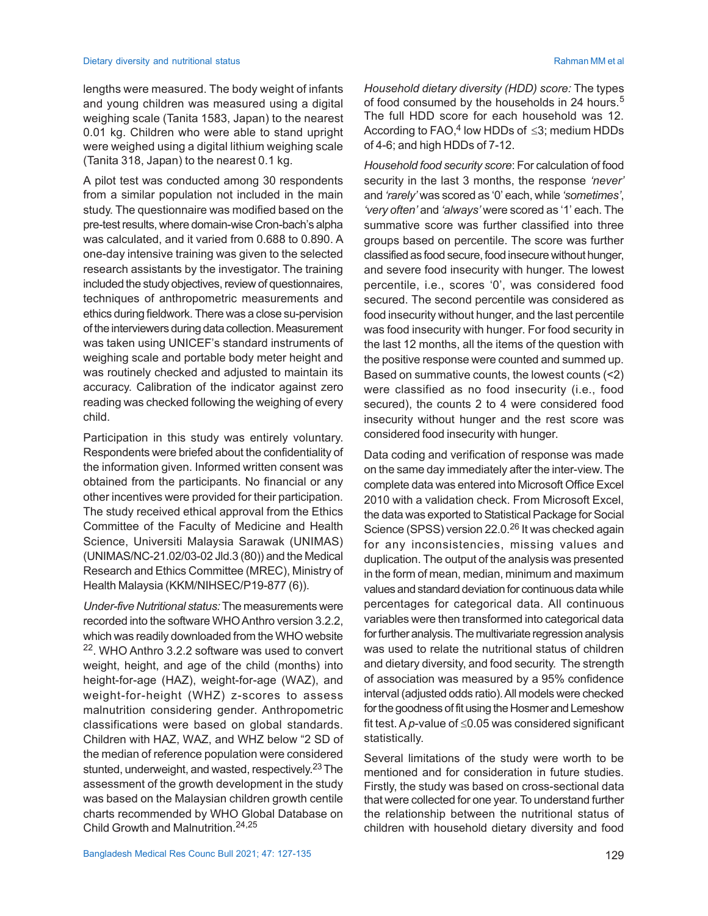lengths were measured. The body weight of infants and young children was measured using a digital weighing scale (Tanita 1583, Japan) to the nearest 0.01 kg. Children who were able to stand upright were weighed using a digital lithium weighing scale (Tanita 318, Japan) to the nearest 0.1 kg.

A pilot test was conducted among 30 respondents from a similar population not included in the main study. The questionnaire was modified based on the pre-test results, where domain-wise Cron-bach's alpha was calculated, and it varied from 0.688 to 0.890. A one-day intensive training was given to the selected research assistants by the investigator. The training included the study objectives, review of questionnaires, techniques of anthropometric measurements and ethics during fieldwork. There was a close su-pervision of the interviewers during data collection. Measurement was taken using UNICEF's standard instruments of weighing scale and portable body meter height and was routinely checked and adjusted to maintain its accuracy. Calibration of the indicator against zero reading was checked following the weighing of every child.

Participation in this study was entirely voluntary. Respondents were briefed about the confidentiality of the information given. Informed written consent was obtained from the participants. No financial or any other incentives were provided for their participation. The study received ethical approval from the Ethics Committee of the Faculty of Medicine and Health Science, Universiti Malaysia Sarawak (UNIMAS) (UNIMAS/NC-21.02/03-02 Jld.3 (80)) and the Medical Research and Ethics Committee (MREC), Ministry of Health Malaysia (KKM/NIHSEC/P19-877 (6)).

*Under-five Nutritional status:* The measurements were recorded into the software WHO Anthro version 3.2.2, which was readily downloaded from the WHO website <sup>22</sup>. WHO Anthro 3.2.2 software was used to convert weight, height, and age of the child (months) into height-for-age (HAZ), weight-for-age (WAZ), and weight-for-height (WHZ) z-scores to assess malnutrition considering gender. Anthropometric classifications were based on global standards. Children with HAZ, WAZ, and WHZ below "2 SD of the median of reference population were considered stunted, underweight, and wasted, respectively.<sup>23</sup> The assessment of the growth development in the study was based on the Malaysian children growth centile charts recommended by WHO Global Database on Child Growth and Malnutrition.24,25

*Household dietary diversity (HDD) score:* The types of food consumed by the households in 24 hours.<sup>5</sup> The full HDD score for each household was 12. According to  $\mathsf{FAO},^4$  low HDDs of  $\leq$ 3; medium HDDs of 4-6; and high HDDs of 7-12.

*Household food security score*: For calculation of food security in the last 3 months, the response *'never'* and *'rarely'* was scored as '0' each, while *'sometimes'*, *'very often'* and *'always'* were scored as '1' each. The summative score was further classified into three groups based on percentile. The score was further classified as food secure, food insecure without hunger, and severe food insecurity with hunger. The lowest percentile, i.e., scores '0', was considered food secured. The second percentile was considered as food insecurity without hunger, and the last percentile was food insecurity with hunger. For food security in the last 12 months, all the items of the question with the positive response were counted and summed up. Based on summative counts, the lowest counts (<2) were classified as no food insecurity (i.e., food secured), the counts 2 to 4 were considered food insecurity without hunger and the rest score was considered food insecurity with hunger.

Data coding and verification of response was made on the same day immediately after the inter-view. The complete data was entered into Microsoft Office Excel 2010 with a validation check. From Microsoft Excel, the data was exported to Statistical Package for Social Science (SPSS) version 22.0.<sup>26</sup> It was checked again for any inconsistencies, missing values and duplication. The output of the analysis was presented in the form of mean, median, minimum and maximum values and standard deviation for continuous data while percentages for categorical data. All continuous variables were then transformed into categorical data for further analysis. The multivariate regression analysis was used to relate the nutritional status of children and dietary diversity, and food security. The strength of association was measured by a 95% confidence interval (adjusted odds ratio). All models were checked for the goodness of fit using the Hosmer and Lemeshow fit test. A  $p$ -value of  $\leq$ 0.05 was considered significant statistically.

Several limitations of the study were worth to be mentioned and for consideration in future studies. Firstly, the study was based on cross-sectional data that were collected for one year. To understand further the relationship between the nutritional status of children with household dietary diversity and food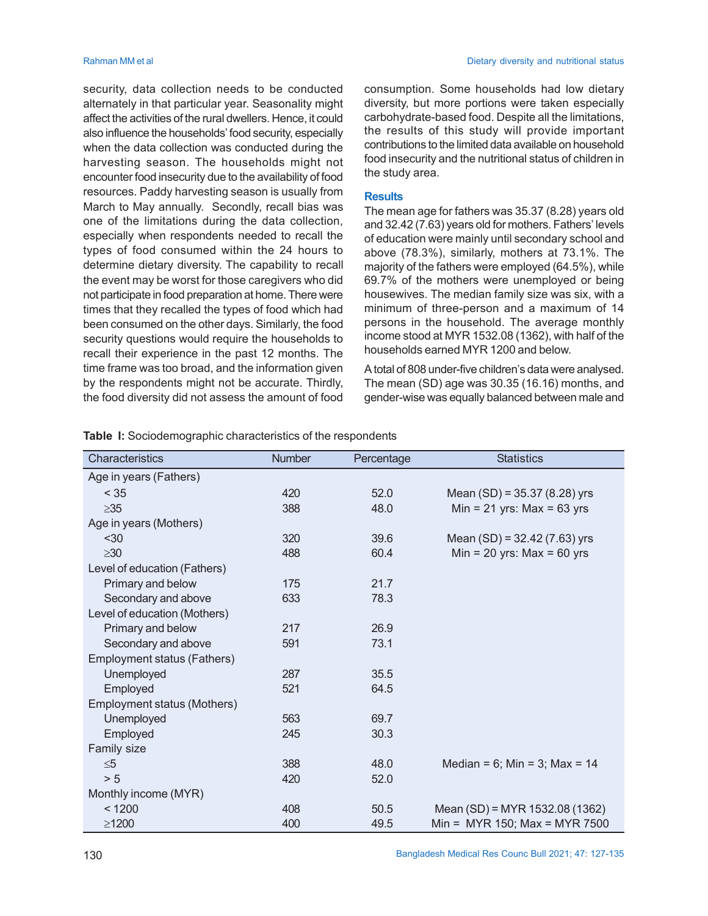security, data collection needs to be conducted alternately in that particular year. Seasonality might affect the activities of the rural dwellers. Hence, it could also influence the households' food security, especially when the data collection was conducted during the harvesting season. The households might not encounter food insecurity due to the availability of food resources. Paddy harvesting season is usually from March to May annually. Secondly, recall bias was one of the limitations during the data collection, especially when respondents needed to recall the types of food consumed within the 24 hours to determine dietary diversity. The capability to recall the event may be worst for those caregivers who did not participate in food preparation at home. There were times that they recalled the types of food which had been consumed on the other days. Similarly, the food security questions would require the households to recall their experience in the past 12 months. The time frame was too broad, and the information given by the respondents might not be accurate. Thirdly, the food diversity did not assess the amount of food

consumption. Some households had low dietary diversity, but more portions were taken especially carbohydrate-based food. Despite all the limitations, the results of this study will provide important contributions to the limited data available on household food insecurity and the nutritional status of children in the study area.

#### **Results**

The mean age for fathers was 35.37 (8.28) years old and 32.42 (7.63) years old for mothers. Fathers' levels of education were mainly until secondary school and above (78.3%), similarly, mothers at 73.1%. The majority of the fathers were employed (64.5%), while 69.7% of the mothers were unemployed or being housewives. The median family size was six, with a minimum of three-person and a maximum of 14 persons in the household. The average monthly income stood at MYR 1532.08 (1362), with half of the households earned MYR 1200 and below.

A total of 808 under-five children's data were analysed. The mean (SD) age was 30.35 (16.16) months, and gender-wise was equally balanced between male and

| Characteristics              | <b>Number</b> | Percentage | <b>Statistics</b>                     |
|------------------------------|---------------|------------|---------------------------------------|
| Age in years (Fathers)       |               |            |                                       |
| < 35                         | 420           | 52.0       | Mean $(SD) = 35.37 (8.28)$ yrs        |
| $\geq 35$                    | 388           | 48.0       | Min = 21 yrs: Max = $63$ yrs          |
| Age in years (Mothers)       |               |            |                                       |
| $30$                         | 320           | 39.6       | Mean (SD) = 32.42 (7.63) yrs          |
| $\geq 30$                    | 488           | 60.4       | Min = 20 yrs: $Max = 60$ yrs          |
| Level of education (Fathers) |               |            |                                       |
| Primary and below            | 175           | 21.7       |                                       |
| Secondary and above          | 633           | 78.3       |                                       |
| Level of education (Mothers) |               |            |                                       |
| Primary and below            | 217           | 26.9       |                                       |
| Secondary and above          | 591           | 73.1       |                                       |
| Employment status (Fathers)  |               |            |                                       |
| Unemployed                   | 287           | 35.5       |                                       |
| Employed                     | 521           | 64.5       |                                       |
| Employment status (Mothers)  |               |            |                                       |
| Unemployed                   | 563           | 69.7       |                                       |
| Employed                     | 245           | 30.3       |                                       |
| Family size                  |               |            |                                       |
| $\leq 5$                     | 388           | 48.0       | Median = $6$ ; Min = $3$ ; Max = $14$ |
| > 5                          | 420           | 52.0       |                                       |
| Monthly income (MYR)         |               |            |                                       |
| < 1200                       | 408           | 50.5       | Mean (SD) = MYR 1532.08 (1362)        |
| $\geq$ 1200                  | 400           | 49.5       | Min = $MYR 150$ ; Max = MYR 7500      |

**Table I:** Sociodemographic characteristics of the respondents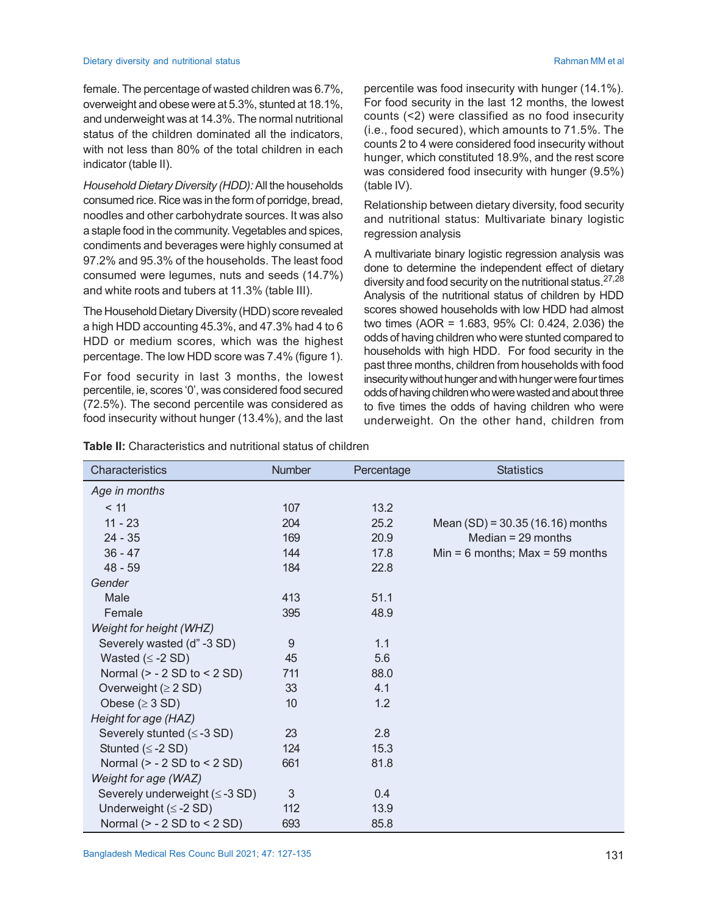female. The percentage of wasted children was 6.7%, overweight and obese were at 5.3%, stunted at 18.1%, and underweight was at 14.3%. The normal nutritional status of the children dominated all the indicators, with not less than 80% of the total children in each indicator (table II).

*Household Dietary Diversity (HDD):* All the households consumed rice. Rice was in the form of porridge, bread, noodles and other carbohydrate sources. It was also a staple food in the community. Vegetables and spices, condiments and beverages were highly consumed at 97.2% and 95.3% of the households. The least food consumed were legumes, nuts and seeds (14.7%) and white roots and tubers at 11.3% (table III).

The Household Dietary Diversity (HDD) score revealed a high HDD accounting 45.3%, and 47.3% had 4 to 6 HDD or medium scores, which was the highest percentage. The low HDD score was 7.4% (figure 1).

For food security in last 3 months, the lowest percentile, ie, scores '0', was considered food secured (72.5%). The second percentile was considered as food insecurity without hunger (13.4%), and the last percentile was food insecurity with hunger (14.1%). For food security in the last 12 months, the lowest counts (<2) were classified as no food insecurity (i.e., food secured), which amounts to 71.5%. The counts 2 to 4 were considered food insecurity without hunger, which constituted 18.9%, and the rest score was considered food insecurity with hunger (9.5%) (table IV).

Relationship between dietary diversity, food security and nutritional status: Multivariate binary logistic regression analysis

A multivariate binary logistic regression analysis was done to determine the independent effect of dietary diversity and food security on the nutritional status. 27,28 Analysis of the nutritional status of children by HDD scores showed households with low HDD had almost two times (AOR = 1.683, 95% CI: 0.424, 2.036) the odds of having children who were stunted compared to households with high HDD. For food security in the past three months, children from households with food insecurity without hunger and with hunger were four times odds of having children who were wasted and about three to five times the odds of having children who were underweight. On the other hand, children from

| Table II: Characteristics and nutritional status of children |  |  |  |
|--------------------------------------------------------------|--|--|--|
|--------------------------------------------------------------|--|--|--|

| Characteristics                     | <b>Number</b> | Percentage | <b>Statistics</b>                 |
|-------------------------------------|---------------|------------|-----------------------------------|
| Age in months                       |               |            |                                   |
| < 11                                | 107           | 13.2       |                                   |
| $11 - 23$                           | 204           | 25.2       | Mean $(SD) = 30.35(16.16)$ months |
| $24 - 35$                           | 169           | 20.9       | Median $= 29$ months              |
| $36 - 47$                           | 144           | 17.8       | Min = 6 months; Max = 59 months   |
| $48 - 59$                           | 184           | 22.8       |                                   |
| Gender                              |               |            |                                   |
| Male                                | 413           | 51.1       |                                   |
| Female                              | 395           | 48.9       |                                   |
| Weight for height (WHZ)             |               |            |                                   |
| Severely wasted (d" -3 SD)          | 9             | 1.1        |                                   |
| Wasted $( \leq -2 SD )$             | 45            | 5.6        |                                   |
| Normal $(> -2 SD to < 2 SD)$        | 711           | 88.0       |                                   |
| Overweight $(≥ 2 SD)$               | 33            | 4.1        |                                   |
| Obese ( $\geq$ 3 SD)                | 10            | 1.2        |                                   |
| Height for age (HAZ)                |               |            |                                   |
| Severely stunted $(\leq -3 SD)$     | 23            | 2.8        |                                   |
| Stunted $(\leq -2$ SD)              | 124           | 15.3       |                                   |
| Normal $(> -2 SD to < 2 SD)$        | 661           | 81.8       |                                   |
| Weight for age (WAZ)                |               |            |                                   |
| Severely underweight $(\leq -3 SD)$ | 3             | 0.4        |                                   |
| Underweight $(\leq -2 SD)$          | 112           | 13.9       |                                   |
| Normal $(> -2 SD to < 2 SD)$        | 693           | 85.8       |                                   |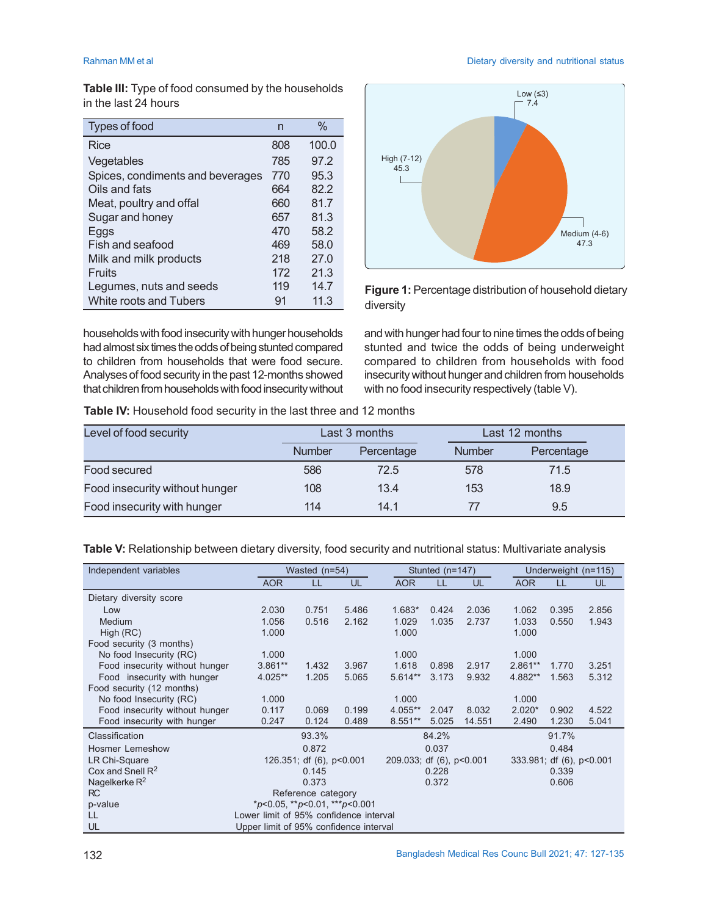Rahman MM et al **Dietary diversity and nutritional status Dietary diversity and nutritional status** 

**Table III:** Type of food consumed by the households in the last 24 hours

| Types of food                    | n   | $\%$  |
|----------------------------------|-----|-------|
| Rice                             | 808 | 100.0 |
| Vegetables                       | 785 | 97.2  |
| Spices, condiments and beverages | 770 | 95.3  |
| Oils and fats                    | 664 | 82.2  |
| Meat, poultry and offal          | 660 | 81.7  |
| Sugar and honey                  | 657 | 81.3  |
| Eggs                             | 470 | 58.2  |
| Fish and seafood                 | 469 | 58.0  |
| Milk and milk products           | 218 | 27.0  |
| Fruits                           | 172 | 21.3  |
| Legumes, nuts and seeds          | 119 | 14.7  |
| White roots and Tubers           | 91  | 11.3  |



**Figure 1:** Percentage distribution of household dietary diversity

households with food insecurity with hunger households had almost six times the odds of being stunted compared to children from households that were food secure. Analyses of food security in the past 12-months showed that children from households with food insecurity without and with hunger had four to nine times the odds of being stunted and twice the odds of being underweight compared to children from households with food insecurity without hunger and children from households with no food insecurity respectively (table V).

**Table IV:** Household food security in the last three and 12 months

| Level of food security         |               | Last 3 months | Last 12 months |            |  |
|--------------------------------|---------------|---------------|----------------|------------|--|
|                                | <b>Number</b> | Percentage    | <b>Number</b>  | Percentage |  |
| Food secured                   | 586           | 72.5          | 578            | 71.5       |  |
| Food insecurity without hunger | 108           | 13.4          | 153            | 18.9       |  |
| Food insecurity with hunger    | 114           | 14.1          | 77             | 9.5        |  |

**Table V:** Relationship between dietary diversity, food security and nutritional status: Multivariate analysis

| Independent variables          | Wasted (n=54)                                  |                          |           |                          | Stunted (n=147) |        |                          | Underweight (n=115) |       |  |
|--------------------------------|------------------------------------------------|--------------------------|-----------|--------------------------|-----------------|--------|--------------------------|---------------------|-------|--|
|                                | <b>AOR</b>                                     | LL                       | <b>UL</b> | <b>AOR</b>               | LL              | UL     | <b>AOR</b>               | LL                  | UL    |  |
| Dietary diversity score        |                                                |                          |           |                          |                 |        |                          |                     |       |  |
| Low                            | 2.030                                          | 0.751                    | 5.486     | 1.683*                   | 0.424           | 2.036  | 1.062                    | 0.395               | 2.856 |  |
| Medium                         | 1.056                                          | 0.516                    | 2.162     | 1.029                    | 1.035           | 2.737  | 1.033                    | 0.550               | 1.943 |  |
| High (RC)                      | 1.000                                          |                          |           | 1.000                    |                 |        | 1.000                    |                     |       |  |
| Food security (3 months)       |                                                |                          |           |                          |                 |        |                          |                     |       |  |
| No food Insecurity (RC)        | 1.000                                          |                          |           | 1.000                    |                 |        | 1.000                    |                     |       |  |
| Food insecurity without hunger | $3.861**$                                      | 1.432                    | 3.967     | 1.618                    | 0.898           | 2.917  | $2.861**$                | 1.770               | 3.251 |  |
| Food insecurity with hunger    | 4.025**                                        | 1.205                    | 5.065     | $5.614**$                | 3.173           | 9.932  | 4.882**                  | 1.563               | 5.312 |  |
| Food security (12 months)      |                                                |                          |           |                          |                 |        |                          |                     |       |  |
| No food Insecurity (RC)        | 1.000                                          |                          |           | 1.000                    |                 |        | 1.000                    |                     |       |  |
| Food insecurity without hunger | 0.117                                          | 0.069                    | 0.199     | 4.055**                  | 2.047           | 8.032  | $2.020*$                 | 0.902               | 4.522 |  |
| Food insecurity with hunger    | 0.247                                          | 0.124                    | 0.489     | $8.551**$                | 5.025           | 14.551 | 2.490                    | 1.230               | 5.041 |  |
| Classification                 |                                                | 93.3%                    |           |                          | 84.2%           |        |                          | 91.7%               |       |  |
| <b>Hosmer Lemeshow</b>         |                                                | 0.872                    |           |                          | 0.037           |        |                          | 0.484               |       |  |
| LR Chi-Square                  |                                                | 126.351; df (6), p<0.001 |           | 209.033; df (6), p<0.001 |                 |        | 333.981; df (6), p<0.001 |                     |       |  |
| Cox and Snell $R^2$            |                                                | 0.145                    |           |                          | 0.228           |        |                          | 0.339               |       |  |
| Nagelkerke $R^2$               |                                                | 0.373                    |           |                          | 0.372           |        |                          | 0.606               |       |  |
| RC                             |                                                | Reference category       |           |                          |                 |        |                          |                     |       |  |
| p-value                        | $*_{p<0.05,}$ ** $_{p<0.01,}$ *** $_{p<0.001}$ |                          |           |                          |                 |        |                          |                     |       |  |
| LL                             | Lower limit of 95% confidence interval         |                          |           |                          |                 |        |                          |                     |       |  |
| UL                             | Upper limit of 95% confidence interval         |                          |           |                          |                 |        |                          |                     |       |  |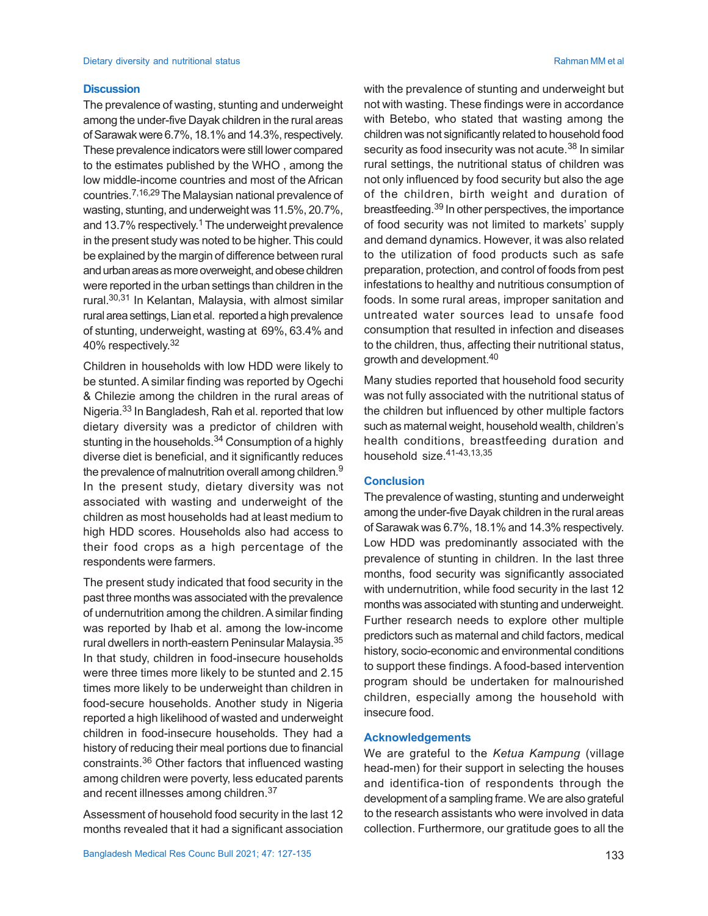#### **Discussion**

The prevalence of wasting, stunting and underweight among the under-five Dayak children in the rural areas of Sarawak were 6.7%, 18.1% and 14.3%, respectively. These prevalence indicators were still lower compared to the estimates published by the WHO , among the low middle-income countries and most of the African countries.7,16,29 The Malaysian national prevalence of wasting, stunting, and underweight was 11.5%, 20.7%, and 13.7% respectively. <sup>1</sup> The underweight prevalence in the present study was noted to be higher. This could be explained by the margin of difference between rural and urban areas as more overweight, and obese children were reported in the urban settings than children in the rural.30,31 In Kelantan, Malaysia, with almost similar rural area settings, Lian et al. reported a high prevalence of stunting, underweight, wasting at 69%, 63.4% and 40% respectively. 32

Children in households with low HDD were likely to be stunted. A similar finding was reported by Ogechi & Chilezie among the children in the rural areas of Nigeria.33 In Bangladesh, Rah et al. reported that low dietary diversity was a predictor of children with stunting in the households. $34$  Consumption of a highly diverse diet is beneficial, and it significantly reduces the prevalence of malnutrition overall among children.<sup>9</sup> In the present study, dietary diversity was not associated with wasting and underweight of the children as most households had at least medium to high HDD scores. Households also had access to their food crops as a high percentage of the respondents were farmers.

The present study indicated that food security in the past three months was associated with the prevalence of undernutrition among the children. A similar finding was reported by Ihab et al. among the low-income rural dwellers in north-eastern Peninsular Malaysia.<sup>35</sup> In that study, children in food-insecure households were three times more likely to be stunted and 2.15 times more likely to be underweight than children in food-secure households. Another study in Nigeria reported a high likelihood of wasted and underweight children in food-insecure households. They had a history of reducing their meal portions due to financial constraints.36 Other factors that influenced wasting among children were poverty, less educated parents and recent illnesses among children.<sup>37</sup>

Assessment of household food security in the last 12 months revealed that it had a significant association

with the prevalence of stunting and underweight but not with wasting. These findings were in accordance with Betebo, who stated that wasting among the children was not significantly related to household food security as food insecurity was not acute.<sup>38</sup> In similar rural settings, the nutritional status of children was not only influenced by food security but also the age of the children, birth weight and duration of breastfeeding.<sup>39</sup> In other perspectives, the importance of food security was not limited to markets' supply and demand dynamics. However, it was also related to the utilization of food products such as safe preparation, protection, and control of foods from pest infestations to healthy and nutritious consumption of foods. In some rural areas, improper sanitation and untreated water sources lead to unsafe food consumption that resulted in infection and diseases to the children, thus, affecting their nutritional status, growth and development.<sup>40</sup>

Many studies reported that household food security was not fully associated with the nutritional status of the children but influenced by other multiple factors such as maternal weight, household wealth, children's health conditions, breastfeeding duration and household size.41-43,13,35

#### **Conclusion**

The prevalence of wasting, stunting and underweight among the under-five Dayak children in the rural areas of Sarawak was 6.7%, 18.1% and 14.3% respectively. Low HDD was predominantly associated with the prevalence of stunting in children. In the last three months, food security was significantly associated with undernutrition, while food security in the last 12 months was associated with stunting and underweight. Further research needs to explore other multiple predictors such as maternal and child factors, medical history, socio-economic and environmental conditions to support these findings. A food-based intervention program should be undertaken for malnourished children, especially among the household with insecure food.

#### **Acknowledgements**

We are grateful to the *Ketua Kampung* (village head-men) for their support in selecting the houses and identifica-tion of respondents through the development of a sampling frame. We are also grateful to the research assistants who were involved in data collection. Furthermore, our gratitude goes to all the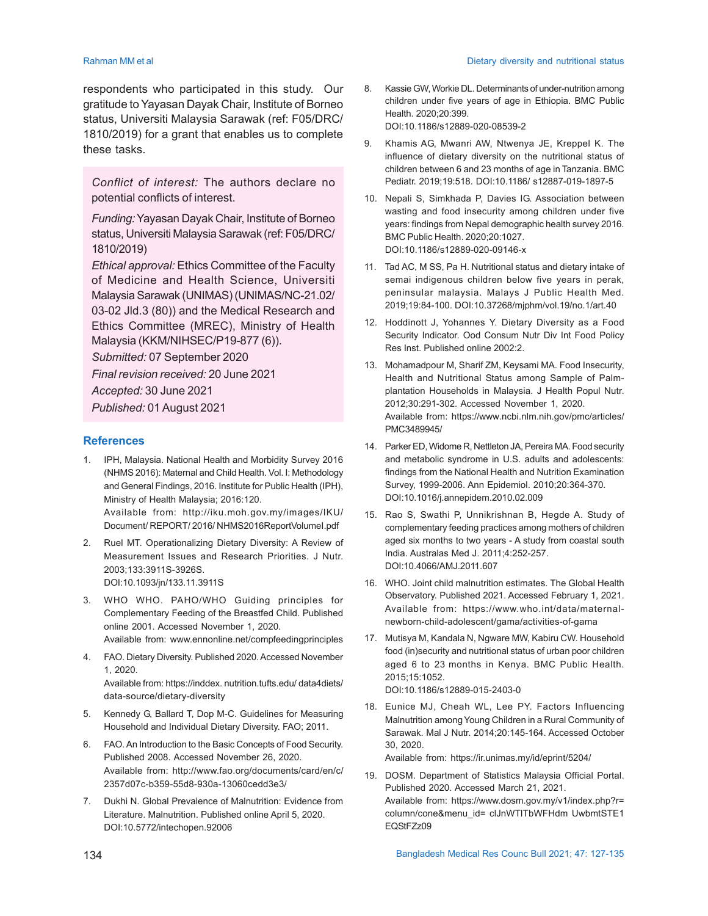respondents who participated in this study. Our gratitude to Yayasan Dayak Chair, Institute of Borneo status, Universiti Malaysia Sarawak (ref: F05/DRC/ 1810/2019) for a grant that enables us to complete these tasks.

*Conflict of interest:* The authors declare no potential conflicts of interest.

*Funding:* Yayasan Dayak Chair, Institute of Borneo status, Universiti Malaysia Sarawak (ref: F05/DRC/ 1810/2019)

*Ethical approval:* Ethics Committee of the Faculty of Medicine and Health Science, Universiti Malaysia Sarawak (UNIMAS) (UNIMAS/NC-21.02/ 03-02 Jld.3 (80)) and the Medical Research and Ethics Committee (MREC), Ministry of Health Malaysia (KKM/NIHSEC/P19-877 (6)).

*Submitted:* 07 September 2020

*Final revision received:* 20 June 2021

*Accepted:* 30 June 2021

*Published:* 01 August 2021

#### **References**

1. IPH, Malaysia. National Health and Morbidity Survey 2016 (NHMS 2016): Maternal and Child Health. Vol. I: Methodology and General Findings, 2016. Institute for Public Health (IPH), Ministry of Health Malaysia; 2016:120.

Available from: http://iku.moh.gov.my/images/IKU/ Document/ REPORT/ 2016/ NHMS2016ReportVolumeI.pdf

- 2. Ruel MT. Operationalizing Dietary Diversity: A Review of Measurement Issues and Research Priorities. J Nutr. 2003;133:3911S-3926S. DOI:10.1093/jn/133.11.3911S
- 3. WHO WHO. PAHO/WHO Guiding principles for Complementary Feeding of the Breastfed Child. Published online 2001. Accessed November 1, 2020. Available from: www.ennonline.net/compfeedingprinciples
- 4. FAO. Dietary Diversity. Published 2020. Accessed November 1, 2020.

Available from: https://inddex. nutrition.tufts.edu/ data4diets/ data-source/dietary-diversity

- 5. Kennedy G, Ballard T, Dop M-C. Guidelines for Measuring Household and Individual Dietary Diversity. FAO; 2011.
- 6. FAO. An Introduction to the Basic Concepts of Food Security. Published 2008. Accessed November 26, 2020. Available from: http://www.fao.org/documents/card/en/c/ 2357d07c-b359-55d8-930a-13060cedd3e3/
- 7. Dukhi N. Global Prevalence of Malnutrition: Evidence from Literature. Malnutrition. Published online April 5, 2020. DOI:10.5772/intechopen.92006
- 8. Kassie GW, Workie DL. Determinants of under-nutrition among children under five years of age in Ethiopia. BMC Public Health. 2020;20:399. DOI:10.1186/s12889-020-08539-2
- 9. Khamis AG, Mwanri AW, Ntwenya JE, Kreppel K. The influence of dietary diversity on the nutritional status of children between 6 and 23 months of age in Tanzania. BMC Pediatr. 2019;19:518. DOI:10.1186/ s12887-019-1897-5
- 10. Nepali S, Simkhada P, Davies IG. Association between wasting and food insecurity among children under five years: findings from Nepal demographic health survey 2016. BMC Public Health. 2020;20:1027. DOI:10.1186/s12889-020-09146-x
- 11. Tad AC, M SS, Pa H. Nutritional status and dietary intake of semai indigenous children below five years in perak, peninsular malaysia. Malays J Public Health Med. 2019;19:84-100. DOI:10.37268/mjphm/vol.19/no.1/art.40
- 12. Hoddinott J, Yohannes Y. Dietary Diversity as a Food Security Indicator. Ood Consum Nutr Div Int Food Policy Res Inst. Published online 2002:2.
- 13. Mohamadpour M, Sharif ZM, Keysami MA. Food Insecurity, Health and Nutritional Status among Sample of Palmplantation Households in Malaysia. J Health Popul Nutr. 2012;30:291-302. Accessed November 1, 2020. Available from: https://www.ncbi.nlm.nih.gov/pmc/articles/ PMC3489945/
- 14. Parker ED, Widome R, Nettleton JA, Pereira MA. Food security and metabolic syndrome in U.S. adults and adolescents: findings from the National Health and Nutrition Examination Survey, 1999-2006. Ann Epidemiol. 2010;20:364-370. DOI:10.1016/j.annepidem.2010.02.009
- 15. Rao S, Swathi P, Unnikrishnan B, Hegde A. Study of complementary feeding practices among mothers of children aged six months to two years - A study from coastal south India. Australas Med J. 2011;4:252-257. DOI:10.4066/AMJ.2011.607
- 16. WHO. Joint child malnutrition estimates. The Global Health Observatory. Published 2021. Accessed February 1, 2021. Available from: https://www.who.int/data/maternalnewborn-child-adolescent/gama/activities-of-gama
- 17. Mutisya M, Kandala N, Ngware MW, Kabiru CW. Household food (in)security and nutritional status of urban poor children aged 6 to 23 months in Kenya. BMC Public Health. 2015;15:1052. DOI:10.1186/s12889-015-2403-0
- 18. Eunice MJ, Cheah WL, Lee PY. Factors Influencing Malnutrition among Young Children in a Rural Community of Sarawak. Mal J Nutr. 2014;20:145-164. Accessed October 30, 2020.

Available from: https://ir.unimas.my/id/eprint/5204/

19. DOSM. Department of Statistics Malaysia Official Portal. Published 2020. Accessed March 21, 2021. Available from: https://www.dosm.gov.my/v1/index.php?r= column/cone&menu\_id= clJnWTlTbWFHdm UwbmtSTE1 EQStFZz09